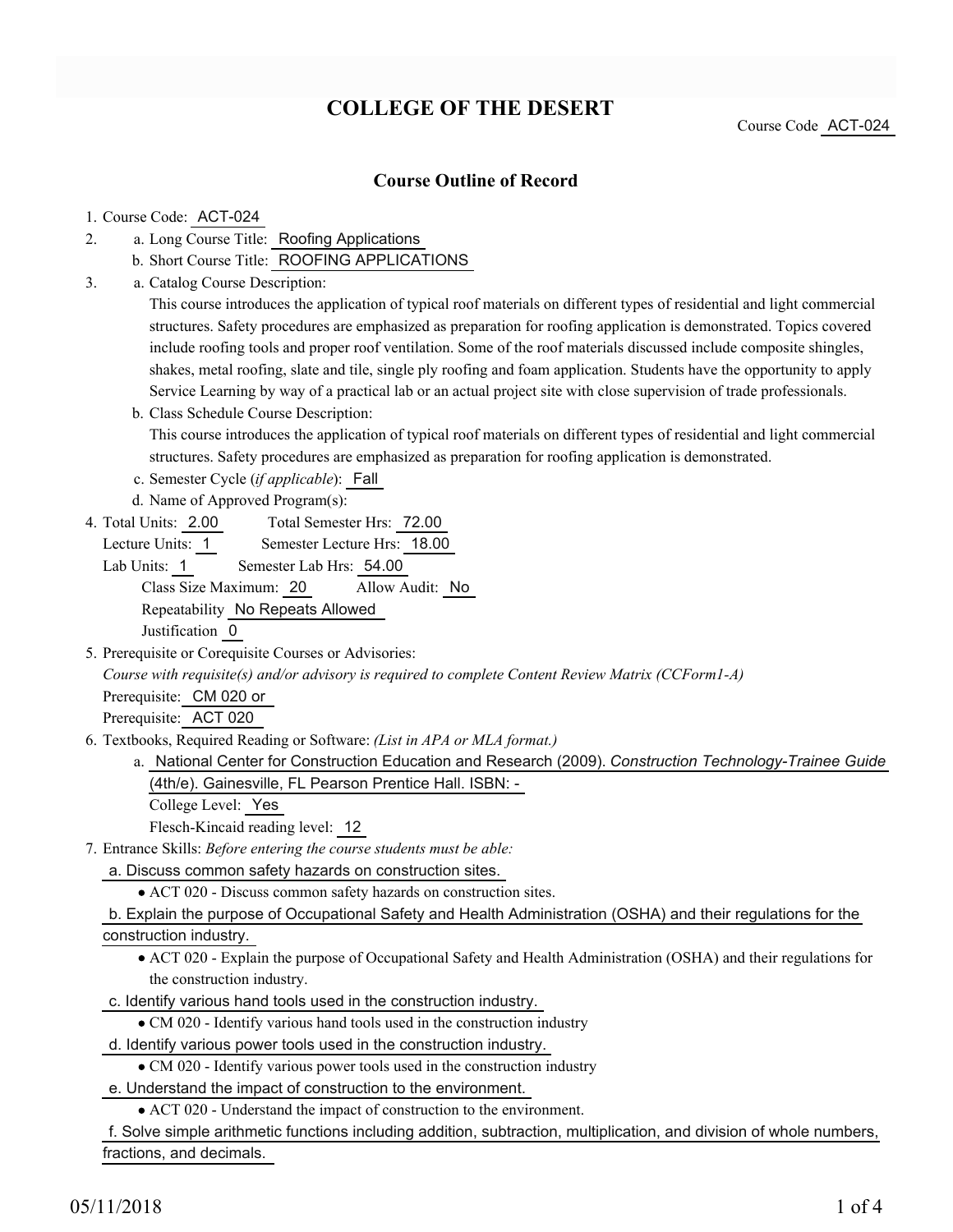# **COLLEGE OF THE DESERT**

Course Code ACT-024

## **Course Outline of Record**

#### 1. Course Code: ACT-024

- a. Long Course Title: Roofing Applications 2.
	- b. Short Course Title: ROOFING APPLICATIONS
- Catalog Course Description: a. 3.

This course introduces the application of typical roof materials on different types of residential and light commercial structures. Safety procedures are emphasized as preparation for roofing application is demonstrated. Topics covered include roofing tools and proper roof ventilation. Some of the roof materials discussed include composite shingles, shakes, metal roofing, slate and tile, single ply roofing and foam application. Students have the opportunity to apply Service Learning by way of a practical lab or an actual project site with close supervision of trade professionals.

b. Class Schedule Course Description: This course introduces the application of typical roof materials on different types of residential and light commercial structures. Safety procedures are emphasized as preparation for roofing application is demonstrated.

c. Semester Cycle (*if applicable*): Fall

d. Name of Approved Program(s):

Total Semester Hrs: 72.00 4. Total Units: 2.00

Lecture Units: 1 Semester Lecture Hrs: 18.00

Lab Units: 1 Semester Lab Hrs: 54.00 Class Size Maximum: 20 Allow Audit: No Repeatability No Repeats Allowed Justification 0

5. Prerequisite or Corequisite Courses or Advisories:

*Course with requisite(s) and/or advisory is required to complete Content Review Matrix (CCForm1-A)*

Prerequisite: CM 020 or

Prerequisite: ACT 020

- Textbooks, Required Reading or Software: *(List in APA or MLA format.)* 6.
	- a. National Center for Construction Education and Research (2009). *Construction Technology-Trainee Guide* (4th/e). Gainesville, FL Pearson Prentice Hall. ISBN: -

College Level: Yes

Flesch-Kincaid reading level: 12

- Entrance Skills: *Before entering the course students must be able:* 7.
	- a. Discuss common safety hazards on construction sites.

ACT 020 - Discuss common safety hazards on construction sites.

b. Explain the purpose of Occupational Safety and Health Administration (OSHA) and their regulations for the

construction industry.

ACT 020 - Explain the purpose of Occupational Safety and Health Administration (OSHA) and their regulations for the construction industry.

c. Identify various hand tools used in the construction industry.

CM 020 - Identify various hand tools used in the construction industry

- d. Identify various power tools used in the construction industry.
	- CM 020 Identify various power tools used in the construction industry
- e. Understand the impact of construction to the environment.

ACT 020 - Understand the impact of construction to the environment.

f. Solve simple arithmetic functions including addition, subtraction, multiplication, and division of whole numbers, fractions, and decimals.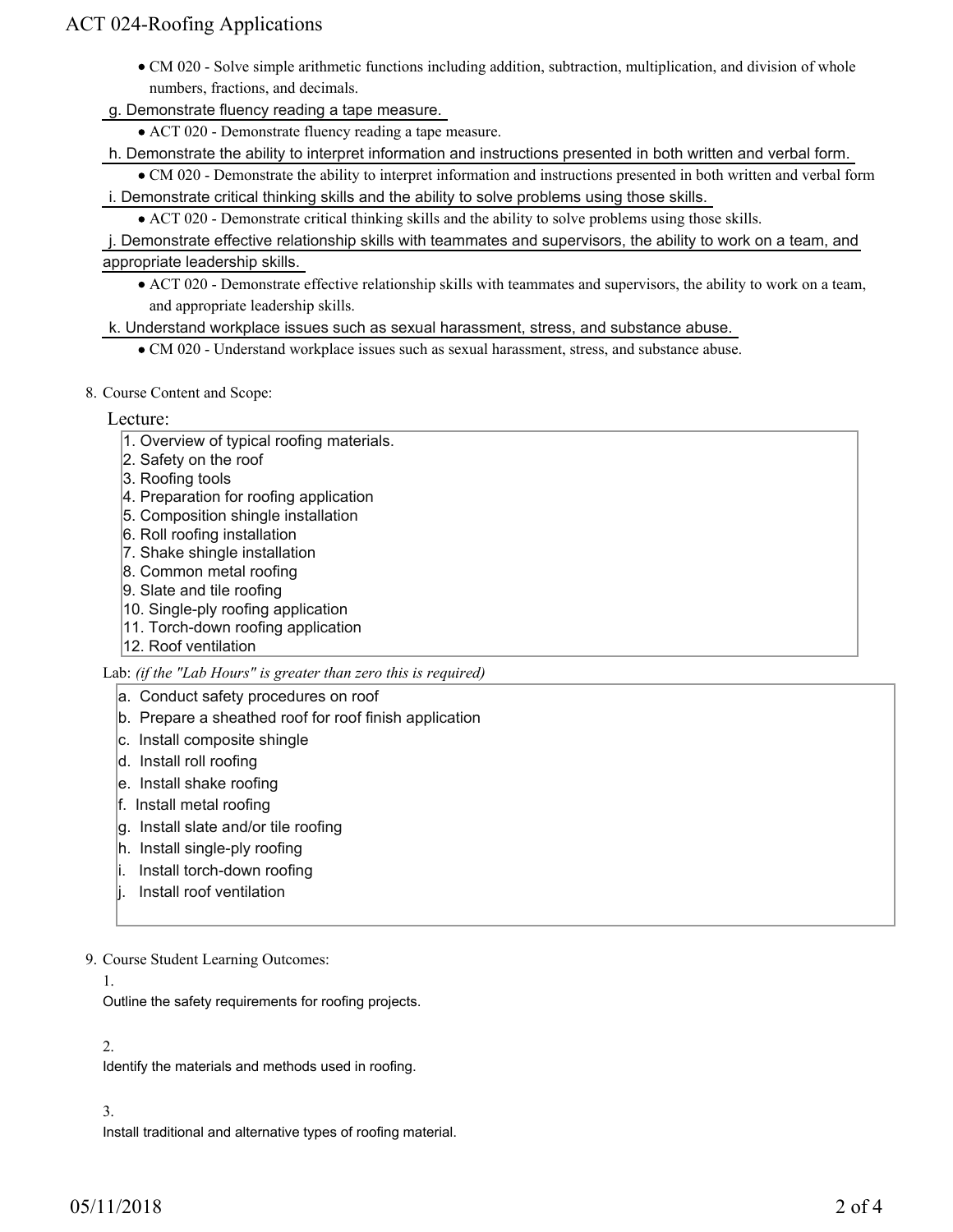## ACT 024-Roofing Applications

- CM 020 Solve simple arithmetic functions including addition, subtraction, multiplication, and division of whole numbers, fractions, and decimals.
- g. Demonstrate fluency reading a tape measure.
	- ACT 020 Demonstrate fluency reading a tape measure.

h. Demonstrate the ability to interpret information and instructions presented in both written and verbal form.

- CM 020 Demonstrate the ability to interpret information and instructions presented in both written and verbal form i. Demonstrate critical thinking skills and the ability to solve problems using those skills.
	- ACT 020 Demonstrate critical thinking skills and the ability to solve problems using those skills.
- j. Demonstrate effective relationship skills with teammates and supervisors, the ability to work on a team, and appropriate leadership skills.
	- ACT 020 Demonstrate effective relationship skills with teammates and supervisors, the ability to work on a team, and appropriate leadership skills.
- k. Understand workplace issues such as sexual harassment, stress, and substance abuse.
	- CM 020 Understand workplace issues such as sexual harassment, stress, and substance abuse.
- 8. Course Content and Scope:

### Lecture:

- 1. Overview of typical roofing materials.
- 2. Safety on the roof
- 3. Roofing tools
- 4. Preparation for roofing application
- 5. Composition shingle installation
- 6. Roll roofing installation
- 7. Shake shingle installation
- 8. Common metal roofing
- 9. Slate and tile roofing
- 10. Single-ply roofing application
- 11. Torch-down roofing application
- 12. Roof ventilation

Lab: *(if the "Lab Hours" is greater than zero this is required)*

### a. Conduct safety procedures on roof

- b. Prepare a sheathed roof for roof finish application
- c. Install composite shingle
- d. Install roll roofing
- e. Install shake roofing
- f. Install metal roofing
- g. Install slate and/or tile roofing
- h. Install single-ply roofing
- i. Install torch-down roofing
- j. Install roof ventilation

9. Course Student Learning Outcomes:

#### 1.

Outline the safety requirements for roofing projects.

### 2.

Identify the materials and methods used in roofing.

## 3.

Install traditional and alternative types of roofing material.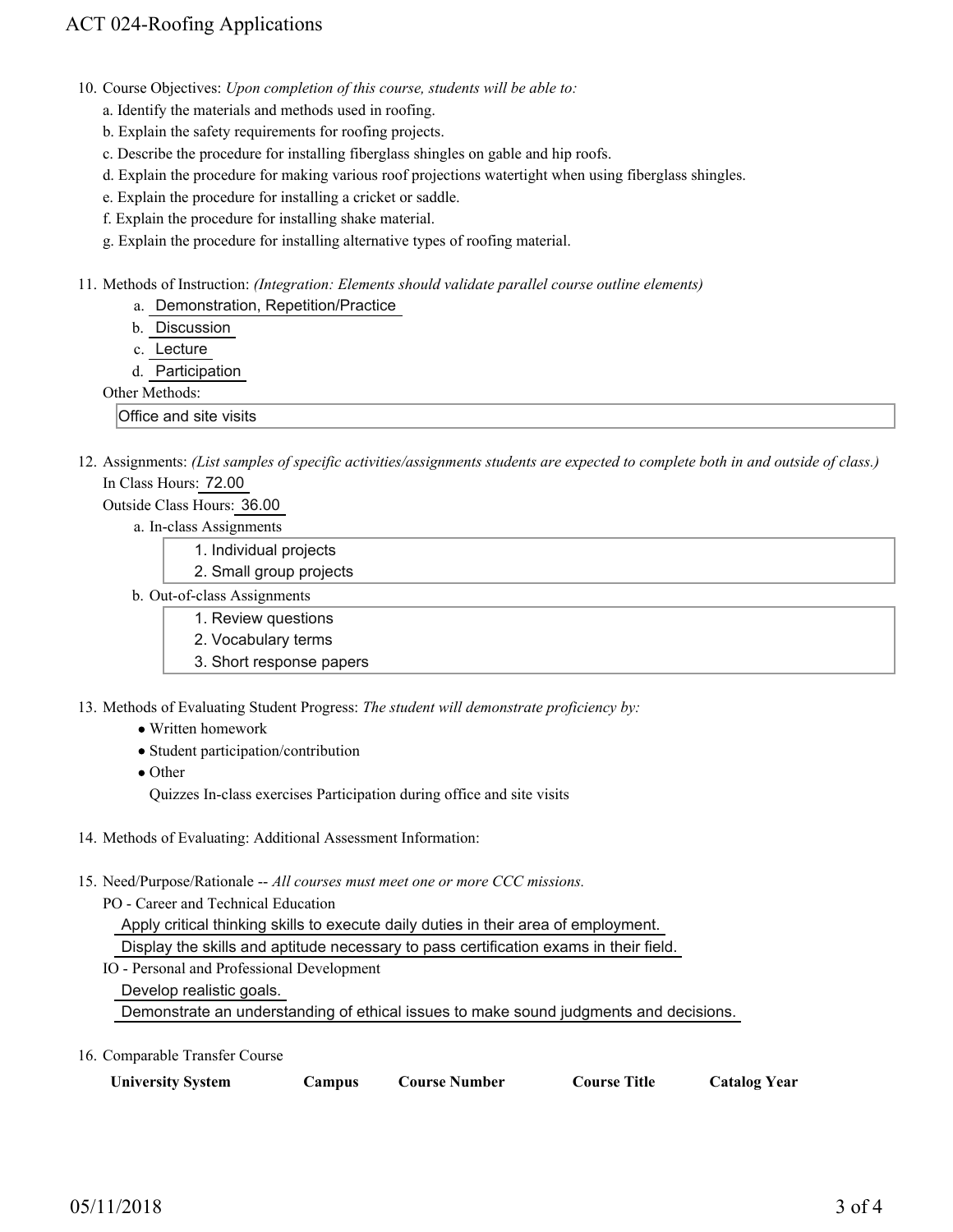## ACT 024-Roofing Applications

- 10. Course Objectives: Upon completion of this course, students will be able to:
	- a. Identify the materials and methods used in roofing.
	- b. Explain the safety requirements for roofing projects.
	- c. Describe the procedure for installing fiberglass shingles on gable and hip roofs.
	- d. Explain the procedure for making various roof projections watertight when using fiberglass shingles.
	- e. Explain the procedure for installing a cricket or saddle.
	- f. Explain the procedure for installing shake material.
	- g. Explain the procedure for installing alternative types of roofing material.
- Methods of Instruction: *(Integration: Elements should validate parallel course outline elements)* 11.
	- a. Demonstration, Repetition/Practice
	- b. Discussion
	- c. Lecture
	- d. Participation
	- Other Methods:

Office and site visits

12. Assignments: (List samples of specific activities/assignments students are expected to complete both in and outside of class.) In Class Hours: 72.00

#### Outside Class Hours: 36.00

- a. In-class Assignments
	- 1. Individual projects
	- 2. Small group projects
- b. Out-of-class Assignments
	- 1. Review questions
	- 2. Vocabulary terms
	- 3. Short response papers
- 13. Methods of Evaluating Student Progress: The student will demonstrate proficiency by:
	- Written homework
	- Student participation/contribution
	- Other

Quizzes In-class exercises Participation during office and site visits

- 14. Methods of Evaluating: Additional Assessment Information:
- 15. Need/Purpose/Rationale -- All courses must meet one or more CCC missions.

PO - Career and Technical Education

Apply critical thinking skills to execute daily duties in their area of employment.

Display the skills and aptitude necessary to pass certification exams in their field.

IO - Personal and Professional Development

Develop realistic goals.

Demonstrate an understanding of ethical issues to make sound judgments and decisions.

16. Comparable Transfer Course

| <b>University System</b><br>Course Number<br>Campus | <b>Course Title</b><br><b>Catalog Year</b> |
|-----------------------------------------------------|--------------------------------------------|
|-----------------------------------------------------|--------------------------------------------|